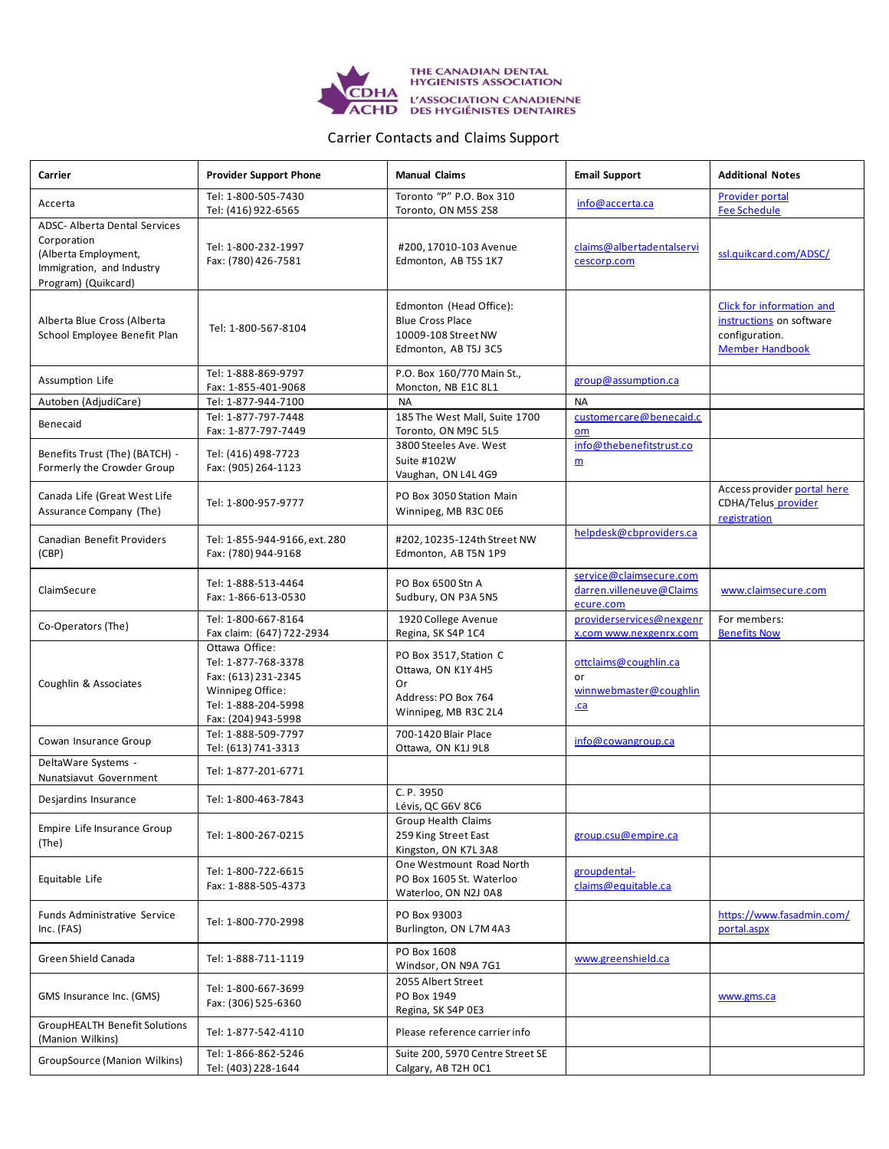

## Carrier Contacts and Claims Support

| Carrier                                                                                                                         | <b>Provider Support Phone</b>                                                                                                  | <b>Manual Claims</b>                                                                              | <b>Email Support</b>                                             | <b>Additional Notes</b>                                                                                  |
|---------------------------------------------------------------------------------------------------------------------------------|--------------------------------------------------------------------------------------------------------------------------------|---------------------------------------------------------------------------------------------------|------------------------------------------------------------------|----------------------------------------------------------------------------------------------------------|
| Accerta                                                                                                                         | Tel: 1-800-505-7430<br>Tel: (416) 922-6565                                                                                     | Toronto "P" P.O. Box 310<br>Toronto, ON M5S 2S8                                                   | info@accerta.ca                                                  | <b>Provider portal</b><br><b>Fee Schedule</b>                                                            |
| <b>ADSC- Alberta Dental Services</b><br>Corporation<br>(Alberta Employment,<br>Immigration, and Industry<br>Program) (Quikcard) | Tel: 1-800-232-1997<br>Fax: (780) 426-7581                                                                                     | #200, 17010-103 Avenue<br>Edmonton, AB T5S 1K7                                                    | claims@albertadentalservi<br>cescorp.com                         | ssl.quikcard.com/ADSC/                                                                                   |
| Alberta Blue Cross (Alberta<br>School Employee Benefit Plan                                                                     | Tel: 1-800-567-8104                                                                                                            | Edmonton (Head Office):<br><b>Blue Cross Place</b><br>10009-108 Street NW<br>Edmonton, AB T5J 3C5 |                                                                  | <b>Click for information and</b><br>instructions on software<br>configuration.<br><b>Member Handbook</b> |
| Assumption Life                                                                                                                 | Tel: 1-888-869-9797<br>Fax: 1-855-401-9068                                                                                     | P.O. Box 160/770 Main St.,<br>Moncton, NB E1C 8L1                                                 | group@assumption.ca                                              |                                                                                                          |
| Autoben (AdjudiCare)                                                                                                            | Tel: 1-877-944-7100                                                                                                            | <b>NA</b>                                                                                         | <b>NA</b>                                                        |                                                                                                          |
| Benecaid                                                                                                                        | Tel: 1-877-797-7448<br>Fax: 1-877-797-7449                                                                                     | 185 The West Mall, Suite 1700<br>Toronto, ON M9C 5L5                                              | customercare@benecaid.c<br>om                                    |                                                                                                          |
| Benefits Trust (The) (BATCH) -<br>Formerly the Crowder Group                                                                    | Tel: (416) 498-7723<br>Fax: (905) 264-1123                                                                                     | 3800 Steeles Ave. West<br>Suite #102W<br>Vaughan, ON L4L 4G9                                      | info@thebenefitstrust.co<br>$\underline{m}$                      |                                                                                                          |
| Canada Life (Great West Life<br>Assurance Company (The)                                                                         | Tel: 1-800-957-9777                                                                                                            | PO Box 3050 Station Main<br>Winnipeg, MB R3C 0E6                                                  |                                                                  | Access provider portal here<br>CDHA/Telus_provider<br>registration                                       |
| Canadian Benefit Providers<br>(CBP)                                                                                             | Tel: 1-855-944-9166, ext. 280<br>Fax: (780) 944-9168                                                                           | #202, 10235-124th Street NW<br>Edmonton, AB T5N 1P9                                               | helpdesk@cbproviders.ca                                          |                                                                                                          |
| ClaimSecure                                                                                                                     | Tel: 1-888-513-4464<br>Fax: 1-866-613-0530                                                                                     | PO Box 6500 Stn A<br>Sudbury, ON P3A 5N5                                                          | service@claimsecure.com<br>darren.villeneuve@Claims<br>ecure.com | www.claimsecure.com                                                                                      |
| Co-Operators (The)                                                                                                              | Tel: 1-800-667-8164<br>Fax claim: (647) 722-2934                                                                               | 1920 College Avenue<br>Regina, SK S4P 1C4                                                         | providerservices@nexgenr<br>x.com www.nexgenrx.com               | For members:<br><b>Benefits Now</b>                                                                      |
| Coughlin & Associates                                                                                                           | Ottawa Office:<br>Tel: 1-877-768-3378<br>Fax: (613) 231-2345<br>Winnipeg Office:<br>Tel: 1-888-204-5998<br>Fax: (204) 943-5998 | PO Box 3517, Station C<br>Ottawa, ON K1Y 4H5<br>Or<br>Address: PO Box 764<br>Winnipeg, MB R3C 2L4 | ottclaims@coughlin.ca<br>or<br>winnwebmaster@coughlin<br>ca      |                                                                                                          |
| Cowan Insurance Group                                                                                                           | Tel: 1-888-509-7797<br>Tel: (613) 741-3313                                                                                     | 700-1420 Blair Place<br>Ottawa, ON K1J 9L8                                                        | info@cowangroup.ca                                               |                                                                                                          |
| DeltaWare Systems -<br>Nunatsiavut Government                                                                                   | Tel: 1-877-201-6771                                                                                                            |                                                                                                   |                                                                  |                                                                                                          |
| Desjardins Insurance                                                                                                            | Tel: 1-800-463-7843                                                                                                            | C. P. 3950<br>Lévis. QC G6V 8C6                                                                   |                                                                  |                                                                                                          |
| Empire Life Insurance Group<br>(The)                                                                                            | Tel: 1-800-267-0215                                                                                                            | Group Health Claims<br>259 King Street East<br>Kingston, ON K7L 3A8                               | group.csu@empire.ca                                              |                                                                                                          |
| Equitable Life                                                                                                                  | Tel: 1-800-722-6615<br>Fax: 1-888-505-4373                                                                                     | One Westmount Road North<br>PO Box 1605 St. Waterloo<br>Waterloo, ON N2J 0A8                      | groupdental-<br>claims@equitable.ca                              |                                                                                                          |
| Funds Administrative Service<br>Inc. (FAS)                                                                                      | Tel: 1-800-770-2998                                                                                                            | PO Box 93003<br>Burlington, ON L7M4A3                                                             |                                                                  | https://www.fasadmin.com/<br>portal.aspx                                                                 |
| Green Shield Canada                                                                                                             | Tel: 1-888-711-1119                                                                                                            | PO Box 1608<br>Windsor, ON N9A 7G1                                                                | www.greenshield.ca                                               |                                                                                                          |
| GMS Insurance Inc. (GMS)                                                                                                        | Tel: 1-800-667-3699<br>Fax: (306) 525-6360                                                                                     | 2055 Albert Street<br>PO Box 1949<br>Regina, SK S4P OE3                                           |                                                                  | www.gms.ca                                                                                               |
| <b>GroupHEALTH Benefit Solutions</b><br>(Manion Wilkins)                                                                        | Tel: 1-877-542-4110                                                                                                            | Please reference carrier info                                                                     |                                                                  |                                                                                                          |
| GroupSource (Manion Wilkins)                                                                                                    | Tel: 1-866-862-5246<br>Tel: (403) 228-1644                                                                                     | Suite 200, 5970 Centre Street SE<br>Calgary, AB T2H OC1                                           |                                                                  |                                                                                                          |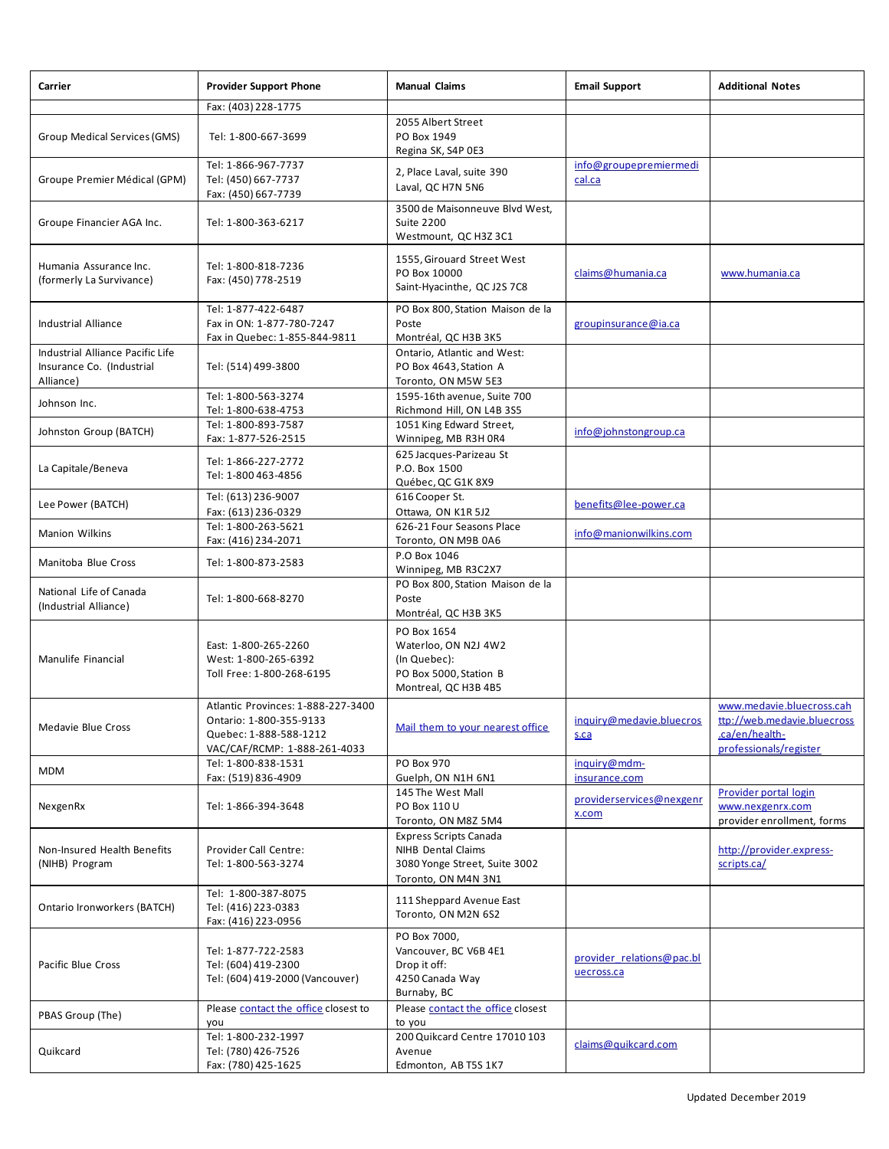| Carrier                                                                    | <b>Provider Support Phone</b>                                                                                           | <b>Manual Claims</b>                                                                                        | <b>Email Support</b>                    | <b>Additional Notes</b>                                                                              |
|----------------------------------------------------------------------------|-------------------------------------------------------------------------------------------------------------------------|-------------------------------------------------------------------------------------------------------------|-----------------------------------------|------------------------------------------------------------------------------------------------------|
|                                                                            | Fax: (403) 228-1775                                                                                                     |                                                                                                             |                                         |                                                                                                      |
| Group Medical Services (GMS)                                               | Tel: 1-800-667-3699                                                                                                     | 2055 Albert Street<br>PO Box 1949<br>Regina SK, S4P 0E3                                                     |                                         |                                                                                                      |
| Groupe Premier Médical (GPM)                                               | Tel: 1-866-967-7737<br>Tel: (450) 667-7737<br>Fax: (450) 667-7739                                                       | 2, Place Laval, suite 390<br>Laval, QC H7N 5N6                                                              | info@groupepremiermedi<br>cal.ca        |                                                                                                      |
| Groupe Financier AGA Inc.                                                  | Tel: 1-800-363-6217                                                                                                     | 3500 de Maisonneuve Blvd West,<br><b>Suite 2200</b><br>Westmount, QC H3Z 3C1                                |                                         |                                                                                                      |
| Humania Assurance Inc.<br>(formerly La Survivance)                         | Tel: 1-800-818-7236<br>Fax: (450) 778-2519                                                                              | 1555, Girouard Street West<br>PO Box 10000<br>Saint-Hyacinthe, QC J2S 7C8                                   | claims@humania.ca                       | www.humania.ca                                                                                       |
| Industrial Alliance                                                        | Tel: 1-877-422-6487<br>Fax in ON: 1-877-780-7247<br>Fax in Quebec: 1-855-844-9811                                       | PO Box 800, Station Maison de la<br>Poste<br>Montréal, QC H3B 3K5                                           | groupinsurance@ia.ca                    |                                                                                                      |
| Industrial Alliance Pacific Life<br>Insurance Co. (Industrial<br>Alliance) | Tel: (514) 499-3800                                                                                                     | Ontario, Atlantic and West:<br>PO Box 4643, Station A<br>Toronto, ON M5W 5E3                                |                                         |                                                                                                      |
| Johnson Inc.                                                               | Tel: 1-800-563-3274<br>Tel: 1-800-638-4753                                                                              | 1595-16th avenue, Suite 700<br>Richmond Hill, ON L4B 3S5                                                    |                                         |                                                                                                      |
| Johnston Group (BATCH)                                                     | Tel: 1-800-893-7587<br>Fax: 1-877-526-2515                                                                              | 1051 King Edward Street,<br>Winnipeg, MB R3H 0R4                                                            | info@johnstongroup.ca                   |                                                                                                      |
| La Capitale/Beneva                                                         | Tel: 1-866-227-2772<br>Tel: 1-800 463-4856                                                                              | 625 Jacques-Parizeau St<br>P.O. Box 1500<br>Québec, QC G1K 8X9                                              |                                         |                                                                                                      |
| Lee Power (BATCH)                                                          | Tel: (613) 236-9007<br>Fax: (613) 236-0329                                                                              | 616 Cooper St.<br>Ottawa, ON K1R 5J2                                                                        | benefits@lee-power.ca                   |                                                                                                      |
| Manion Wilkins                                                             | Tel: 1-800-263-5621<br>Fax: (416) 234-2071                                                                              | 626-21 Four Seasons Place<br>Toronto, ON M9B 0A6                                                            | info@manionwilkins.com                  |                                                                                                      |
| Manitoba Blue Cross                                                        | Tel: 1-800-873-2583                                                                                                     | P.O Box 1046<br>Winnipeg, MB R3C2X7                                                                         |                                         |                                                                                                      |
| National Life of Canada<br>(Industrial Alliance)                           | Tel: 1-800-668-8270                                                                                                     | PO Box 800, Station Maison de la<br>Poste<br>Montréal, QC H3B 3K5                                           |                                         |                                                                                                      |
| Manulife Financial                                                         | East: 1-800-265-2260<br>West: 1-800-265-6392<br>Toll Free: 1-800-268-6195                                               | PO Box 1654<br>Waterloo, ON N2J 4W2<br>(In Quebec):<br>PO Box 5000, Station B<br>Montreal, QC H3B 4B5       |                                         |                                                                                                      |
| Medavie Blue Cross                                                         | Atlantic Provinces: 1-888-227-3400<br>Ontario: 1-800-355-9133<br>Quebec: 1-888-588-1212<br>VAC/CAF/RCMP: 1-888-261-4033 | Mail them to your nearest office                                                                            | inquiry@medavie.bluecros<br>s.ca        | www.medavie.bluecross.cah<br>ttp://web.medavie.bluecross<br>.ca/en/health-<br>professionals/register |
| <b>MDM</b>                                                                 | Tel: 1-800-838-1531<br>Fax: (519) 836-4909                                                                              | PO Box 970<br>Guelph, ON N1H 6N1                                                                            | inquiry@mdm-<br>insurance.com           |                                                                                                      |
| NexgenRx                                                                   | Tel: 1-866-394-3648                                                                                                     | 145 The West Mall<br>PO Box 110 U<br>Toronto, ON M8Z 5M4                                                    | providerservices@nexgenr<br>x.com       | <b>Provider portal login</b><br>www.nexgenrx.com<br>provider enrollment, forms                       |
| Non-Insured Health Benefits<br>(NIHB) Program                              | Provider Call Centre:<br>Tel: 1-800-563-3274                                                                            | <b>Express Scripts Canada</b><br>NIHB Dental Claims<br>3080 Yonge Street, Suite 3002<br>Toronto, ON M4N 3N1 |                                         | http://provider.express-<br>scripts.ca/                                                              |
| Ontario Ironworkers (BATCH)                                                | Tel: 1-800-387-8075<br>Tel: (416) 223-0383<br>Fax: (416) 223-0956                                                       | 111 Sheppard Avenue East<br>Toronto, ON M2N 6S2                                                             |                                         |                                                                                                      |
| Pacific Blue Cross                                                         | Tel: 1-877-722-2583<br>Tel: (604) 419-2300<br>Tel: (604) 419-2000 (Vancouver)                                           | PO Box 7000,<br>Vancouver, BC V6B 4E1<br>Drop it off:<br>4250 Canada Way<br>Burnaby, BC                     | provider relations@pac.bl<br>uecross.ca |                                                                                                      |
| PBAS Group (The)                                                           | Please contact the office closest to<br>you                                                                             | Please contact the office closest<br>to you                                                                 |                                         |                                                                                                      |
| Quikcard                                                                   | Tel: 1-800-232-1997<br>Tel: (780) 426-7526<br>Fax: (780) 425-1625                                                       | 200 Quikcard Centre 17010 103<br>Avenue<br>Edmonton, AB T5S 1K7                                             | claims@quikcard.com                     |                                                                                                      |